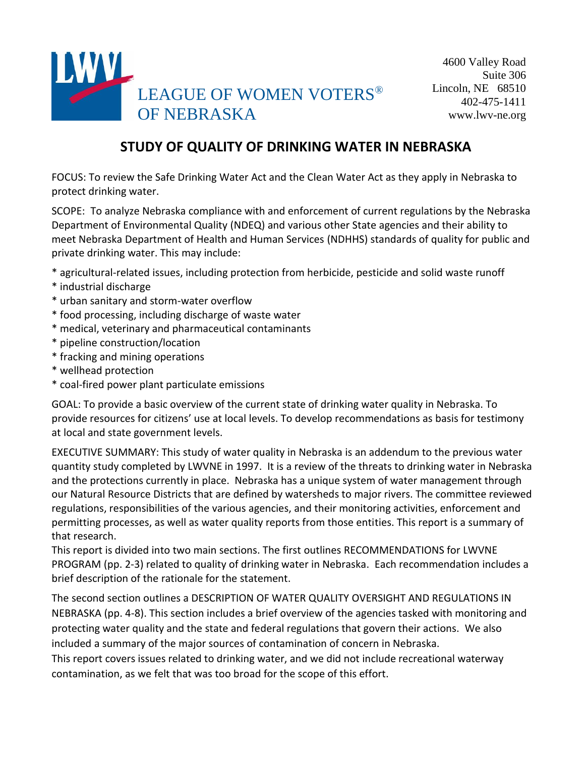

# **STUDY OF QUALITY OF DRINKING WATER IN NEBRASKA**

FOCUS: To review the Safe Drinking Water Act and the Clean Water Act as they apply in Nebraska to protect drinking water.

SCOPE: To analyze Nebraska compliance with and enforcement of current regulations by the Nebraska Department of Environmental Quality (NDEQ) and various other State agencies and their ability to meet Nebraska Department of Health and Human Services (NDHHS) standards of quality for public and private drinking water. This may include:

- \* agricultural-related issues, including protection from herbicide, pesticide and solid waste runoff
- \* industrial discharge
- \* urban sanitary and storm-water overflow
- \* food processing, including discharge of waste water
- \* medical, veterinary and pharmaceutical contaminants
- \* pipeline construction/location
- \* fracking and mining operations
- \* wellhead protection
- \* coal-fired power plant particulate emissions

GOAL: To provide a basic overview of the current state of drinking water quality in Nebraska. To provide resources for citizens' use at local levels. To develop recommendations as basis for testimony at local and state government levels.

EXECUTIVE SUMMARY: This study of water quality in Nebraska is an addendum to the previous water quantity study completed by LWVNE in 1997. It is a review of the threats to drinking water in Nebraska and the protections currently in place. Nebraska has a unique system of water management through our Natural Resource Districts that are defined by watersheds to major rivers. The committee reviewed regulations, responsibilities of the various agencies, and their monitoring activities, enforcement and permitting processes, as well as water quality reports from those entities. This report is a summary of that research.

This report is divided into two main sections. The first outlines RECOMMENDATIONS for LWVNE PROGRAM (pp. 2-3) related to quality of drinking water in Nebraska. Each recommendation includes a brief description of the rationale for the statement.

The second section outlines a DESCRIPTION OF WATER QUALITY OVERSIGHT AND REGULATIONS IN NEBRASKA (pp. 4-8). This section includes a brief overview of the agencies tasked with monitoring and protecting water quality and the state and federal regulations that govern their actions. We also included a summary of the major sources of contamination of concern in Nebraska.

This report covers issues related to drinking water, and we did not include recreational waterway contamination, as we felt that was too broad for the scope of this effort.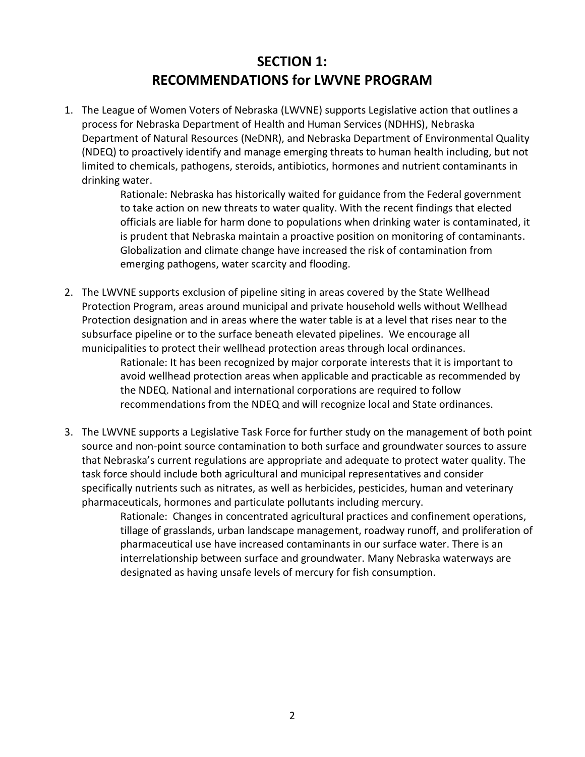# **SECTION 1: RECOMMENDATIONS for LWVNE PROGRAM**

1. The League of Women Voters of Nebraska (LWVNE) supports Legislative action that outlines a process for Nebraska Department of Health and Human Services (NDHHS), Nebraska Department of Natural Resources (NeDNR), and Nebraska Department of Environmental Quality (NDEQ) to proactively identify and manage emerging threats to human health including, but not limited to chemicals, pathogens, steroids, antibiotics, hormones and nutrient contaminants in drinking water.

> Rationale: Nebraska has historically waited for guidance from the Federal government to take action on new threats to water quality. With the recent findings that elected officials are liable for harm done to populations when drinking water is contaminated, it is prudent that Nebraska maintain a proactive position on monitoring of contaminants. Globalization and climate change have increased the risk of contamination from emerging pathogens, water scarcity and flooding.

2. The LWVNE supports exclusion of pipeline siting in areas covered by the State Wellhead Protection Program, areas around municipal and private household wells without Wellhead Protection designation and in areas where the water table is at a level that rises near to the subsurface pipeline or to the surface beneath elevated pipelines. We encourage all municipalities to protect their wellhead protection areas through local ordinances.

Rationale: It has been recognized by major corporate interests that it is important to avoid wellhead protection areas when applicable and practicable as recommended by the NDEQ. National and international corporations are required to follow recommendations from the NDEQ and will recognize local and State ordinances.

3. The LWVNE supports a Legislative Task Force for further study on the management of both point source and non-point source contamination to both surface and groundwater sources to assure that Nebraska's current regulations are appropriate and adequate to protect water quality. The task force should include both agricultural and municipal representatives and consider specifically nutrients such as nitrates, as well as herbicides, pesticides, human and veterinary pharmaceuticals, hormones and particulate pollutants including mercury.

> Rationale: Changes in concentrated agricultural practices and confinement operations, tillage of grasslands, urban landscape management, roadway runoff, and proliferation of pharmaceutical use have increased contaminants in our surface water. There is an interrelationship between surface and groundwater. Many Nebraska waterways are designated as having unsafe levels of mercury for fish consumption.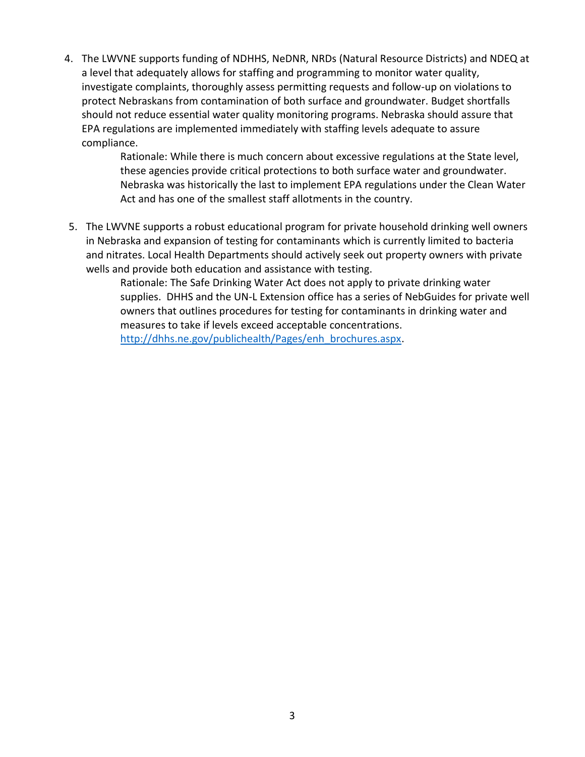4. The LWVNE supports funding of NDHHS, NeDNR, NRDs (Natural Resource Districts) and NDEQ at a level that adequately allows for staffing and programming to monitor water quality, investigate complaints, thoroughly assess permitting requests and follow-up on violations to protect Nebraskans from contamination of both surface and groundwater. Budget shortfalls should not reduce essential water quality monitoring programs. Nebraska should assure that EPA regulations are implemented immediately with staffing levels adequate to assure compliance.

> Rationale: While there is much concern about excessive regulations at the State level, these agencies provide critical protections to both surface water and groundwater. Nebraska was historically the last to implement EPA regulations under the Clean Water Act and has one of the smallest staff allotments in the country.

5. The LWVNE supports a robust educational program for private household drinking well owners in Nebraska and expansion of testing for contaminants which is currently limited to bacteria and nitrates. Local Health Departments should actively seek out property owners with private wells and provide both education and assistance with testing.

> Rationale: The Safe Drinking Water Act does not apply to private drinking water supplies. DHHS and the UN-L Extension office has a series of NebGuides for private well owners that outlines procedures for testing for contaminants in drinking water and measures to take if levels exceed acceptable concentrations.

[http://dhhs.ne.gov/publichealth/Pages/enh\\_brochures.aspx.](http://dhhs.ne.gov/publichealth/Pages/enh_brochures.aspx)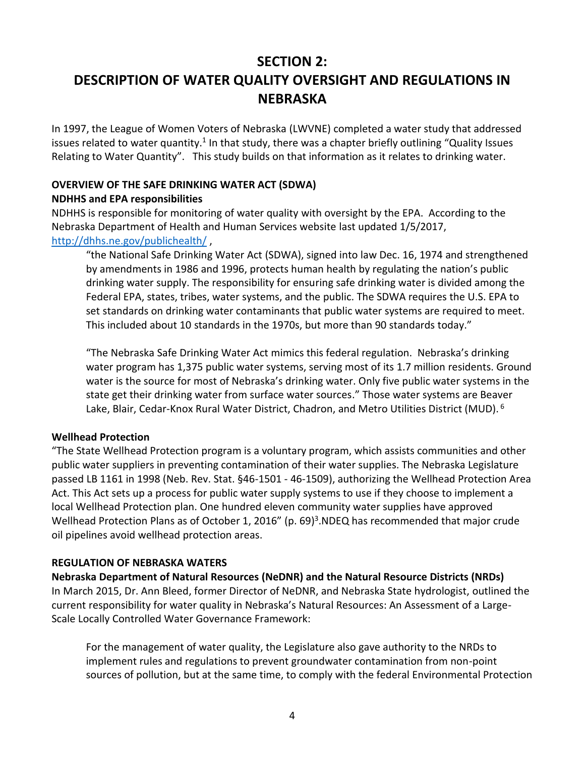# **SECTION 2:**

# **DESCRIPTION OF WATER QUALITY OVERSIGHT AND REGULATIONS IN NEBRASKA**

In 1997, the League of Women Voters of Nebraska (LWVNE) completed a water study that addressed issues related to water quantity.<sup>1</sup> In that study, there was a chapter briefly outlining "Quality Issues Relating to Water Quantity". This study builds on that information as it relates to drinking water.

# **OVERVIEW OF THE SAFE DRINKING WATER ACT (SDWA)**

#### **NDHHS and EPA responsibilities**

NDHHS is responsible for monitoring of water quality with oversight by the EPA. According to the Nebraska Department of Health and Human Services website last updated 1/5/2017, <http://dhhs.ne.gov/publichealth/> ,

"the National Safe Drinking Water Act (SDWA), signed into law Dec. 16, 1974 and strengthened by amendments in 1986 and 1996, protects human health by regulating the nation's public drinking water supply. The responsibility for ensuring safe drinking water is divided among the Federal EPA, states, tribes, water systems, and the public. The SDWA requires the U.S. EPA to set standards on drinking water contaminants that public water systems are required to meet. This included about 10 standards in the 1970s, but more than 90 standards today."

"The Nebraska Safe Drinking Water Act mimics this federal regulation. Nebraska's drinking water program has 1,375 public water systems, serving most of its 1.7 million residents. Ground water is the source for most of Nebraska's drinking water. Only five public water systems in the state get their drinking water from surface water sources." Those water systems are Beaver Lake, Blair, Cedar-Knox Rural Water District, Chadron, and Metro Utilities District (MUD). <sup>6</sup>

#### **Wellhead Protection**

"The State Wellhead Protection program is a voluntary program, which assists communities and other public water suppliers in preventing contamination of their water supplies. The Nebraska Legislature passed LB 1161 in 1998 (Neb. Rev. Stat. §46-1501 - 46-1509), authorizing the Wellhead Protection Area Act. This Act sets up a process for public water supply systems to use if they choose to implement a local Wellhead Protection plan. One hundred eleven community water supplies have approved Wellhead Protection Plans as of October 1, 2016" (p. 69)<sup>3</sup>.NDEQ has recommended that major crude oil pipelines avoid wellhead protection areas.

#### **REGULATION OF NEBRASKA WATERS**

**Nebraska Department of Natural Resources (NeDNR) and the Natural Resource Districts (NRDs)** In March 2015, Dr. Ann Bleed, former Director of NeDNR, and Nebraska State hydrologist, outlined the current responsibility for water quality in Nebraska's Natural Resources: An Assessment of a Large-Scale Locally Controlled Water Governance Framework:

For the management of water quality, the Legislature also gave authority to the NRDs to implement rules and regulations to prevent groundwater contamination from non-point sources of pollution, but at the same time, to comply with the federal Environmental Protection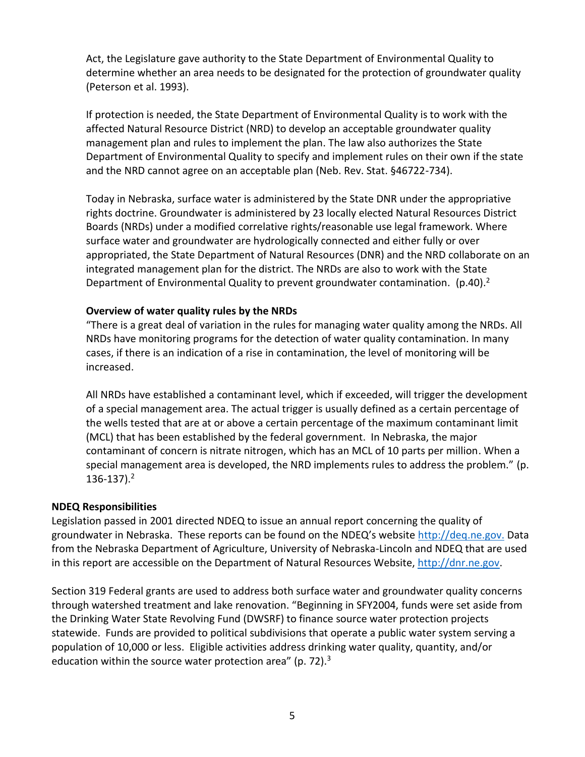Act, the Legislature gave authority to the State Department of Environmental Quality to determine whether an area needs to be designated for the protection of groundwater quality (Peterson et al. 1993).

If protection is needed, the State Department of Environmental Quality is to work with the affected Natural Resource District (NRD) to develop an acceptable groundwater quality management plan and rules to implement the plan. The law also authorizes the State Department of Environmental Quality to specify and implement rules on their own if the state and the NRD cannot agree on an acceptable plan (Neb. Rev. Stat. §46722-734).

Today in Nebraska, surface water is administered by the State DNR under the appropriative rights doctrine. Groundwater is administered by 23 locally elected Natural Resources District Boards (NRDs) under a modified correlative rights/reasonable use legal framework. Where surface water and groundwater are hydrologically connected and either fully or over appropriated, the State Department of Natural Resources (DNR) and the NRD collaborate on an integrated management plan for the district. The NRDs are also to work with the State Department of Environmental Quality to prevent groundwater contamination. (p.40).<sup>2</sup>

#### **Overview of water quality rules by the NRDs**

"There is a great deal of variation in the rules for managing water quality among the NRDs. All NRDs have monitoring programs for the detection of water quality contamination. In many cases, if there is an indication of a rise in contamination, the level of monitoring will be increased.

All NRDs have established a contaminant level, which if exceeded, will trigger the development of a special management area. The actual trigger is usually defined as a certain percentage of the wells tested that are at or above a certain percentage of the maximum contaminant limit (MCL) that has been established by the federal government. In Nebraska, the major contaminant of concern is nitrate nitrogen, which has an MCL of 10 parts per million. When a special management area is developed, the NRD implements rules to address the problem." (p. 136-137).<sup>2</sup>

# **NDEQ Responsibilities**

Legislation passed in 2001 directed NDEQ to issue an annual report concerning the quality of groundwater in Nebraska. These reports can be found on the NDEQ's website [http://deq.ne.gov.](http://deq.ne.gov/) Data from the Nebraska Department of Agriculture, University of Nebraska-Lincoln and NDEQ that are used in this report are accessible on the Department of Natural Resources Website, [http://dnr.ne.gov.](http://dnr.ne.gov/)

Section 319 Federal grants are used to address both surface water and groundwater quality concerns through watershed treatment and lake renovation. "Beginning in SFY2004, funds were set aside from the Drinking Water State Revolving Fund (DWSRF) to finance source water protection projects statewide. Funds are provided to political subdivisions that operate a public water system serving a population of 10,000 or less. Eligible activities address drinking water quality, quantity, and/or education within the source water protection area" (p. 72). $3$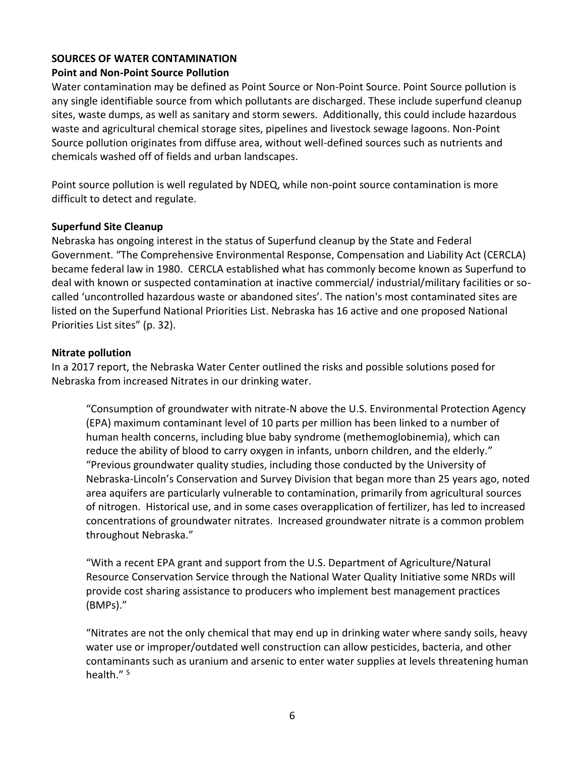# **SOURCES OF WATER CONTAMINATION**

#### **Point and Non-Point Source Pollution**

Water contamination may be defined as Point Source or Non-Point Source. Point Source pollution is any single identifiable source from which pollutants are discharged. These include superfund cleanup sites, waste dumps, as well as sanitary and storm sewers. Additionally, this could include hazardous waste and agricultural chemical storage sites, pipelines and livestock sewage lagoons. Non-Point Source pollution originates from diffuse area, without well-defined sources such as nutrients and chemicals washed off of fields and urban landscapes.

Point source pollution is well regulated by NDEQ, while non-point source contamination is more difficult to detect and regulate.

#### **Superfund Site Cleanup**

Nebraska has ongoing interest in the status of Superfund cleanup by the State and Federal Government. "The Comprehensive Environmental Response, Compensation and Liability Act (CERCLA) became federal law in 1980. CERCLA established what has commonly become known as Superfund to deal with known or suspected contamination at inactive commercial/ industrial/military facilities or socalled 'uncontrolled hazardous waste or abandoned sites'. The nation's most contaminated sites are listed on the Superfund National Priorities List. Nebraska has 16 active and one proposed National Priorities List sites" (p. 32).

#### **Nitrate pollution**

In a 2017 report, the Nebraska Water Center outlined the risks and possible solutions posed for Nebraska from increased Nitrates in our drinking water.

"Consumption of groundwater with nitrate-N above the U.S. Environmental Protection Agency (EPA) maximum contaminant level of 10 parts per million has been linked to a number of human health concerns, including blue baby syndrome (methemoglobinemia), which can reduce the ability of blood to carry oxygen in infants, unborn children, and the elderly." "Previous groundwater quality studies, including those conducted by the University of Nebraska-Lincoln's Conservation and Survey Division that began more than 25 years ago, noted area aquifers are particularly vulnerable to contamination, primarily from agricultural sources of nitrogen. Historical use, and in some cases overapplication of fertilizer, has led to increased concentrations of groundwater nitrates. Increased groundwater nitrate is a common problem throughout Nebraska."

"With a recent EPA grant and support from the U.S. Department of Agriculture/Natural Resource Conservation Service through the National Water Quality Initiative some NRDs will provide cost sharing assistance to producers who implement best management practices (BMPs)."

"Nitrates are not the only chemical that may end up in drinking water where sandy soils, heavy water use or improper/outdated well construction can allow pesticides, bacteria, and other contaminants such as uranium and arsenic to enter water supplies at levels threatening human health."<sup>5</sup>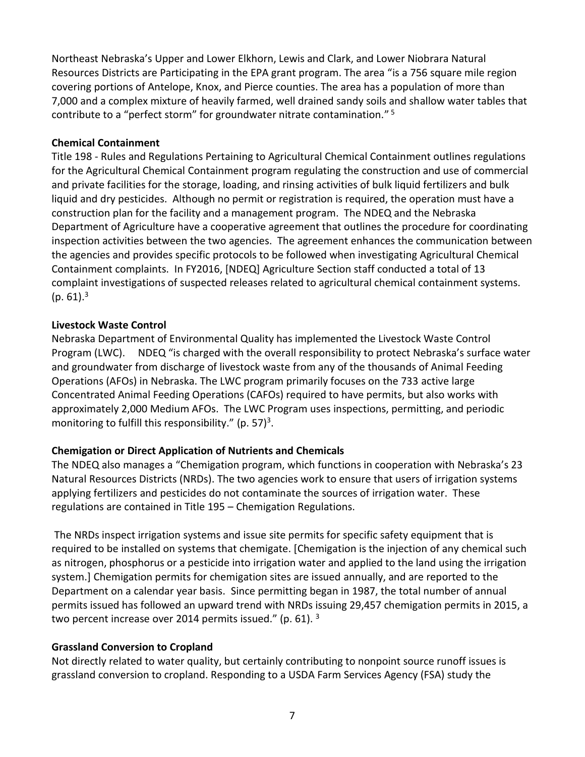Northeast Nebraska's Upper and Lower Elkhorn, Lewis and Clark, and Lower Niobrara Natural Resources Districts are Participating in the EPA grant program. The area "is a 756 square mile region covering portions of Antelope, Knox, and Pierce counties. The area has a population of more than 7,000 and a complex mixture of heavily farmed, well drained sandy soils and shallow water tables that contribute to a "perfect storm" for groundwater nitrate contamination."<sup>5</sup>

# **Chemical Containment**

Title 198 - Rules and Regulations Pertaining to Agricultural Chemical Containment outlines regulations for the Agricultural Chemical Containment program regulating the construction and use of commercial and private facilities for the storage, loading, and rinsing activities of bulk liquid fertilizers and bulk liquid and dry pesticides. Although no permit or registration is required, the operation must have a construction plan for the facility and a management program. The NDEQ and the Nebraska Department of Agriculture have a cooperative agreement that outlines the procedure for coordinating inspection activities between the two agencies. The agreement enhances the communication between the agencies and provides specific protocols to be followed when investigating Agricultural Chemical Containment complaints. In FY2016, [NDEQ] Agriculture Section staff conducted a total of 13 complaint investigations of suspected releases related to agricultural chemical containment systems.  $(p. 61).<sup>3</sup>$ 

# **Livestock Waste Control**

Nebraska Department of Environmental Quality has implemented the Livestock Waste Control Program (LWC). NDEQ "is charged with the overall responsibility to protect Nebraska's surface water and groundwater from discharge of livestock waste from any of the thousands of Animal Feeding Operations (AFOs) in Nebraska. The LWC program primarily focuses on the 733 active large Concentrated Animal Feeding Operations (CAFOs) required to have permits, but also works with approximately 2,000 Medium AFOs. The LWC Program uses inspections, permitting, and periodic monitoring to fulfill this responsibility." (p. 57)<sup>3</sup>.

# **Chemigation or Direct Application of Nutrients and Chemicals**

The NDEQ also manages a "Chemigation program, which functions in cooperation with Nebraska's 23 Natural Resources Districts (NRDs). The two agencies work to ensure that users of irrigation systems applying fertilizers and pesticides do not contaminate the sources of irrigation water. These regulations are contained in Title 195 – Chemigation Regulations.

The NRDs inspect irrigation systems and issue site permits for specific safety equipment that is required to be installed on systems that chemigate. [Chemigation is the injection of any chemical such as nitrogen, phosphorus or a pesticide into irrigation water and applied to the land using the irrigation system.] Chemigation permits for chemigation sites are issued annually, and are reported to the Department on a calendar year basis. Since permitting began in 1987, the total number of annual permits issued has followed an upward trend with NRDs issuing 29,457 chemigation permits in 2015, a two percent increase over 2014 permits issued." (p. 61). 3

# **Grassland Conversion to Cropland**

Not directly related to water quality, but certainly contributing to nonpoint source runoff issues is grassland conversion to cropland. Responding to a USDA Farm Services Agency (FSA) study the